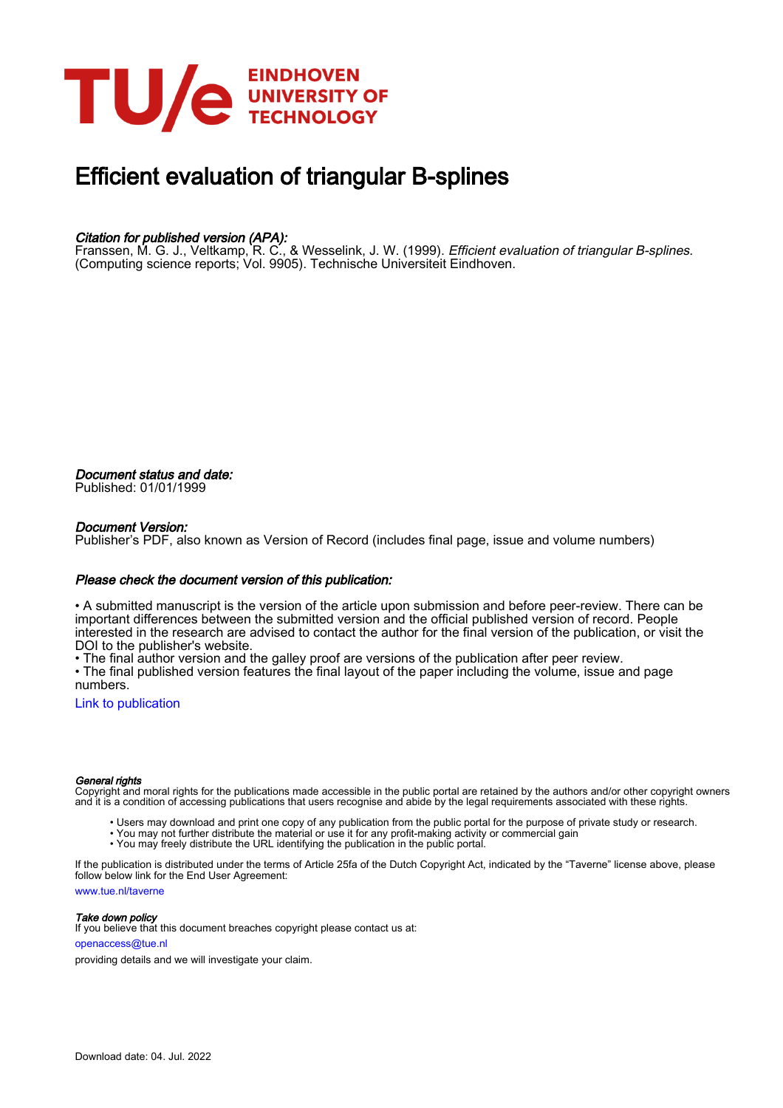

# Efficient evaluation of triangular B-splines

#### Citation for published version (APA):

Franssen, M. G. J., Veltkamp, R. C., & Wesselink, J. W. (1999). Efficient evaluation of triangular B-splines. (Computing science reports; Vol. 9905). Technische Universiteit Eindhoven.

Document status and date: Published: 01/01/1999

#### Document Version:

Publisher's PDF, also known as Version of Record (includes final page, issue and volume numbers)

#### Please check the document version of this publication:

• A submitted manuscript is the version of the article upon submission and before peer-review. There can be important differences between the submitted version and the official published version of record. People interested in the research are advised to contact the author for the final version of the publication, or visit the DOI to the publisher's website.

• The final author version and the galley proof are versions of the publication after peer review.

• The final published version features the final layout of the paper including the volume, issue and page numbers.

[Link to publication](https://research.tue.nl/en/publications/e87d53e7-12fa-4b98-a081-95a0e3cb55af)

#### General rights

Copyright and moral rights for the publications made accessible in the public portal are retained by the authors and/or other copyright owners and it is a condition of accessing publications that users recognise and abide by the legal requirements associated with these rights.

- Users may download and print one copy of any publication from the public portal for the purpose of private study or research.
- You may not further distribute the material or use it for any profit-making activity or commercial gain
- You may freely distribute the URL identifying the publication in the public portal.

If the publication is distributed under the terms of Article 25fa of the Dutch Copyright Act, indicated by the "Taverne" license above, please follow below link for the End User Agreement:

www.tue.nl/taverne

**Take down policy**<br>If you believe that this document breaches copyright please contact us at:

openaccess@tue.nl

providing details and we will investigate your claim.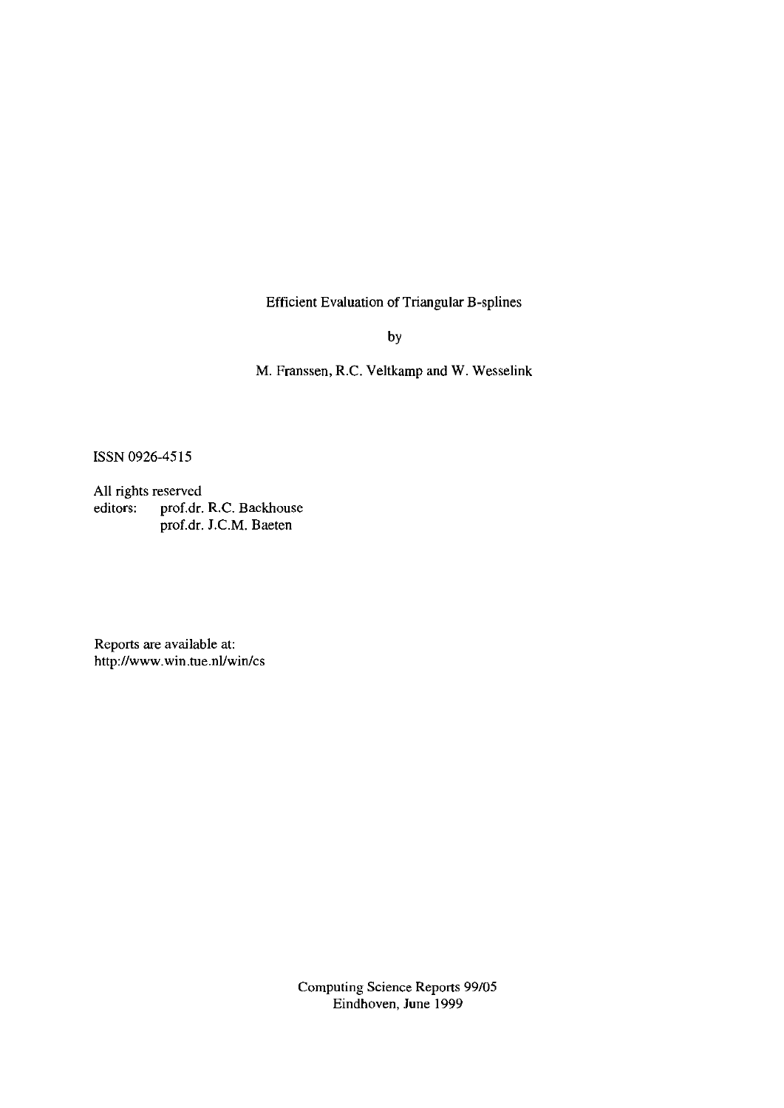Efficient Evaluation of Triangular B-splines

by

M. Franssen, R.C. Veltkamp and W. Wesselink

ISSN 0926-4515

All rights reserved editors: prof.dr. R.C. Backhouse prof.dr. J.C.M. Baeten

Reports are available at: *http://www.win.tue.nllwinlcs* 

> Computing Science Reports 99/05 Eindhoven, June 1999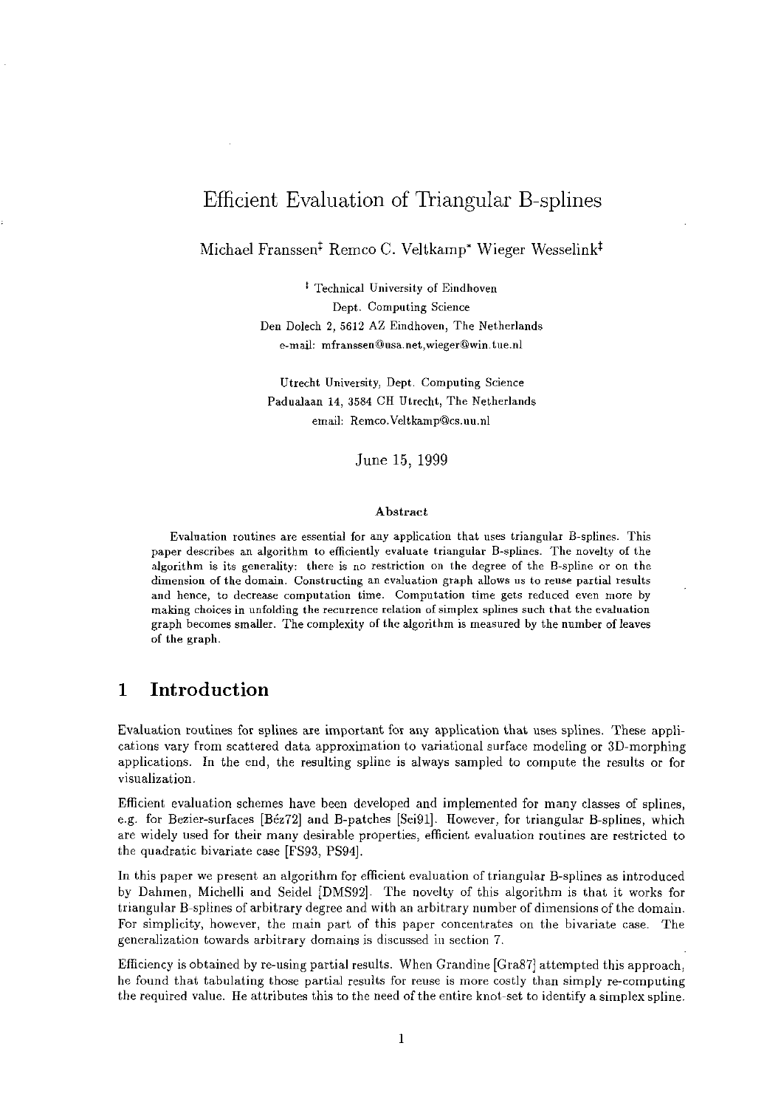## Efficient Evaluation of Triangular B-splines

Michael Franssen<sup>‡</sup> Remco C. Veltkamp<sup>\*</sup> Wieger Wesselink<sup>†</sup>

t Technical University of Eindhoven Dept. Computing Science Den Dolech 2, 5612 AZ Eindhoven, The Netherlands e-mail: mfranssen@usa.net.wieger@win.tue.nl

Utrecht University, Dept. Computing Science Padualaan 14, 3584 CH Utrecht, The Netherlands email: Remco.Veltkamp@cs.uu.nl

June 15, 1999

#### Abstract

Evaluation routines are essential for any application that uses triangular B-splines. This paper describes an algorithm to efficiently evaluate triangular B-splines. The novelty of the algorithm is its generality: there is no restriction on the degree of the B-spline or on the dimension of the domain. Constructing an evaluation graph allows us to reuse partial results and hence, to decrease computation time. Computation time gets reduced even more by making choices in unfolding the recurrence relation of simplex splines such that the evaluation graph becomes smaller. The complexity of the algorithm is measured by the number of leaves of the graph.

## 1 Introduction

Evaluation routines for splines are important for any application that uses splines. These applications vary from scattered data approximation to variational surface modeling or 3D-morphing applications. In the end, the resulting spline is always sampled to compute the results or for visualization.

Efficient evaluation schemes have been developed and implemented for many classes of splines, e.g. for Bezier-surfaces [Bez72] and B-patches [Sei91]. However, for triangular B-splines, which are widely used for their many desirable properties, efficient evaluation routines are restricted to the quadratic bivariate case [FS93, PS94].

In this paper we present an algorithm for efficient evaluation of triangular B-splines as introduced by Dahmen, Michelli and Seidel [DMS92]. The novelty of this algorithm is that it works for triangular B-splines of arbitrary degree and with an arbitrary number of dimensions of the domain. For simplicity, however, the main part of this paper concentrates on the bivariate case. The generalization towards arbitrary domains is discussed in section 7.

Efficiency is obtained by re-using partial results. When Grandine [Gra87] attempted this approach, he found that tabulating those partial results for reuse is more costly than simply re-computing the required value. He attributes this to the need of the entire knot-set to identify a simplex spline.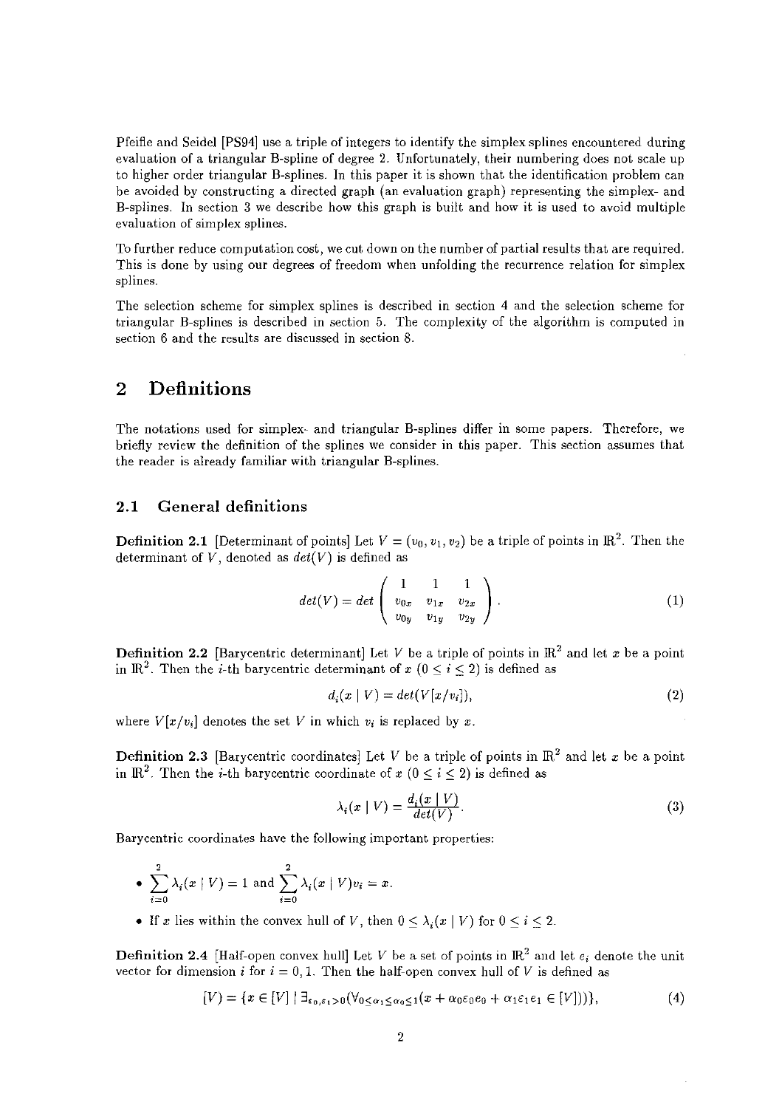Pfeifle and Seidel [PS94] use a triple of integers to identify the simplex splines encountered during evaluation of a triangular B-spline of degree 2. Unfortunately, their numbering does not scale up to higher order triangular B-splines. In this paper it is shown that the identification problem can be avoided by constructing a directed graph (an evaluation graph) representing the simplex- and B-splines. In section 3 we describe how this graph is built and how it is used to avoid multiple evaluation of simplex splines.

To further reduce computation cost, we cut down on the number of partial results that are required. This is done by using our degrees of freedom when unfolding the recurrence relation for simplex splines.

The selection scheme for simplex splines is described in section 4 and the selection scheme for triangular B-splines is described in section 5. The complexity of the algorithm is computed in section 6 and the results are discussed in section 8.

## 2 Definitions

The notations used for simplex- and triangular B-splines differ in some papers. Therefore, we briefly review the definition of the splines we consider in this paper. This section assumes that the reader is already familiar with triangular B-splines.

#### 2.1 General definitions

**Definition 2.1** [Determinant of points] Let  $V = (v_0, v_1, v_2)$  be a triple of points in  $\mathbb{R}^2$ . Then the determinant of  $V$ , denoted as  $det(V)$  is defined as

$$
det(V) = det \begin{pmatrix} 1 & 1 & 1 \\ v_{0x} & v_{1x} & v_{2x} \\ v_{0y} & v_{1y} & v_{2y} \end{pmatrix}.
$$
 (1)

**Definition 2.2** [Barycentric determinant] Let V be a triple of points in  $\mathbb{R}^2$  and let x be a point in  $\mathbb{R}^2$ . Then the *i*-th barycentric determinant of *x* (0 < *i* < 2) is defined as

$$
d_i(x \mid V) = det(V[x/v_i]), \qquad (2)
$$

where  $V[x/v_i]$  denotes the set V in which  $v_i$  is replaced by x.

**Definition 2.3** [Barycentric coordinates] Let *V* be a triple of points in  $\mathbb{R}^2$  and let *x* be a point in  $\mathbb{R}^2$ . Then the *i*-th barycentric coordinate of  $x$  ( $0 \le i \le 2$ ) is defined as

$$
\lambda_i(x \mid V) = \frac{d_i(x \mid V)}{det(V)}.
$$
\n(3)

Barycentric coordinates have the following important properties:

• 
$$
\sum_{i=0}^{2} \lambda_i(x | V) = 1
$$
 and  $\sum_{i=0}^{2} \lambda_i(x | V)v_i = x$ .

• If *x* lies within the convex hull of *V*, then  $0 \leq \lambda_i(x \mid V)$  for  $0 \leq i \leq 2$ .

**Definition 2.4** [Half-open convex hull] Let V be a set of points in  $\mathbb{R}^2$  and let  $e_i$  denote the unit vector for dimension *i* for  $i = 0, 1$ . Then the half-open convex hull of V is defined as

$$
[V] = \{x \in [V] \mid \exists_{\varepsilon_0, \varepsilon_1 > 0} (\forall_{0 \le \alpha_1 \le \alpha_0 \le 1} (x + \alpha_0 \varepsilon_0 e_0 + \alpha_1 \varepsilon_1 e_1 \in [V]))\},\tag{4}
$$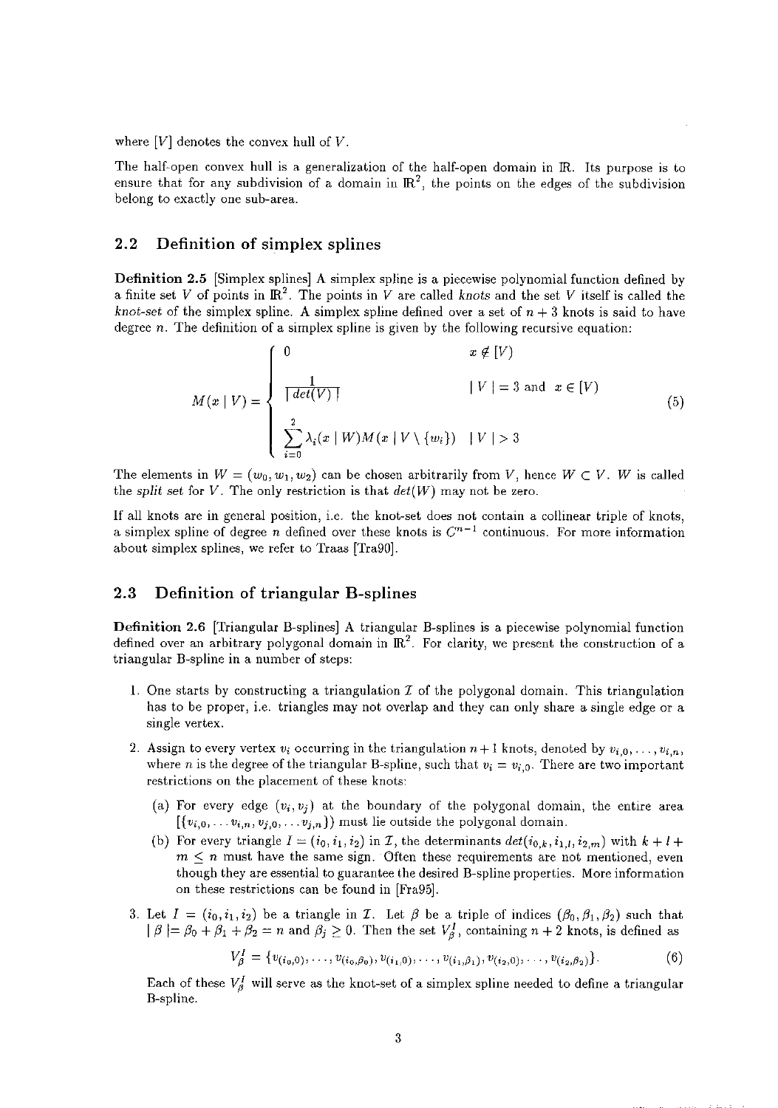where [V] denotes the convex hull of *V.* 

The half-open convex hull is a generalization of the half-open domain in IR. Its purpose is to ensure that for any subdivision of a domain in  $\mathbb{R}^2$ , the points on the edges of the subdivision belong to exactly one sub-area.

#### 2.2 Definition of simplex splines

Definition 2.5 [Simplex splines] A simplex spline is a piecewise polynomial function defined by a finite set *V* of points in  $\mathbb{R}^2$ . The points in *V* are called *knots* and the set *V* itself is called the *knot-set* of the simplex spline. A simplex spline defined over a set of  $n + 3$  knots is said to have degree *n.* The definition of a simplex spline is given by the following recursive equation:

$$
M(x | V) = \begin{cases} 0 & x \notin [V) \\ \frac{1}{\lceil det(V) \rceil} & |V| = 3 \text{ and } x \in [V) \\ \sum_{i=0}^{2} \lambda_i(x | W) M(x | V \setminus \{w_i\}) & |V| > 3 \end{cases}
$$
(5)

The elements in  $W = (w_0, w_1, w_2)$  can be chosen arbitrarily from V, hence  $W \subset V$ . W is called the *split set* for *V*. The only restriction is that  $det(W)$  may not be zero.

lf all knots are in general position, i.e. the knot-set does not contain a collinear triple of knots, a simplex spline of degree *n* defined over these knots is  $C^{n-1}$  continuous. For more information about simplex splines, we refer to Traas [Tra90].

#### 2.3 Definition of triangular B-splines

Definition 2.6 [Triangular B-splines] A triangular B-splines is a piecewise polynomial function defined over an arbitrary polygonal domain in  $\mathbb{R}^2$ . For clarity, we present the construction of a triangular B-spline in a number of steps:

- 1. One starts by constructing a triangulation  $\mathcal I$  of the polygonal domain. This triangulation has to be proper, i.e. triangles may not overlap and they can only share a single edge or a single vertex.
- 2. Assign to every vertex  $v_i$  occurring in the triangulation  $n+1$  knots, denoted by  $v_{i,0}, \ldots, v_{i,n}$ where *n* is the degree of the triangular B-spline, such that  $v_i = v_{i,0}$ . There are two important restrictions on the placement of these knots:
	- (a) For every edge  $(v_i, v_j)$  at the boundary of the polygonal domain, the entire area  $[\{v_{i,0}, \ldots v_{i,n}, v_{j,0}, \ldots v_{j,n}\}]$  must lie outside the polygonal domain.
	- (b) For every triangle  $I = (i_0, i_1, i_2)$  in *I*, the determinants  $det(i_{0,k}, i_{1,l}, i_{2,m})$  with  $k + l +$  $m \leq n$  must have the same sign. Often these requirements are not mentioned, even though they are essential to guarantee the desired B-spline properties. More information on these restrictions can be found in [Fra95].
- 3. Let  $I = (i_0, i_1, i_2)$  be a triangle in *I*. Let  $\beta$  be a triple of indices  $(\beta_0, \beta_1, \beta_2)$  such that  $| \beta | = \beta_0 + \beta_1 + \beta_2 = n$  and  $\beta_j \ge 0$ . Then the set  $V_{\beta}$ , containing  $n + 2$  knots, is defined as

$$
V_{\beta}^I = \{v_{(i_0,0)}, \ldots, v_{(i_0,\beta_0)}, v_{(i_1,0)}, \ldots, v_{(i_1,\beta_1)}, v_{(i_2,0)}, \ldots, v_{(i_2,\beta_2)}\}.
$$
(6)

Each of these  $V_{\beta}^{I}$  will serve as the knot-set of a simplex spline needed to define a triangular B-spline.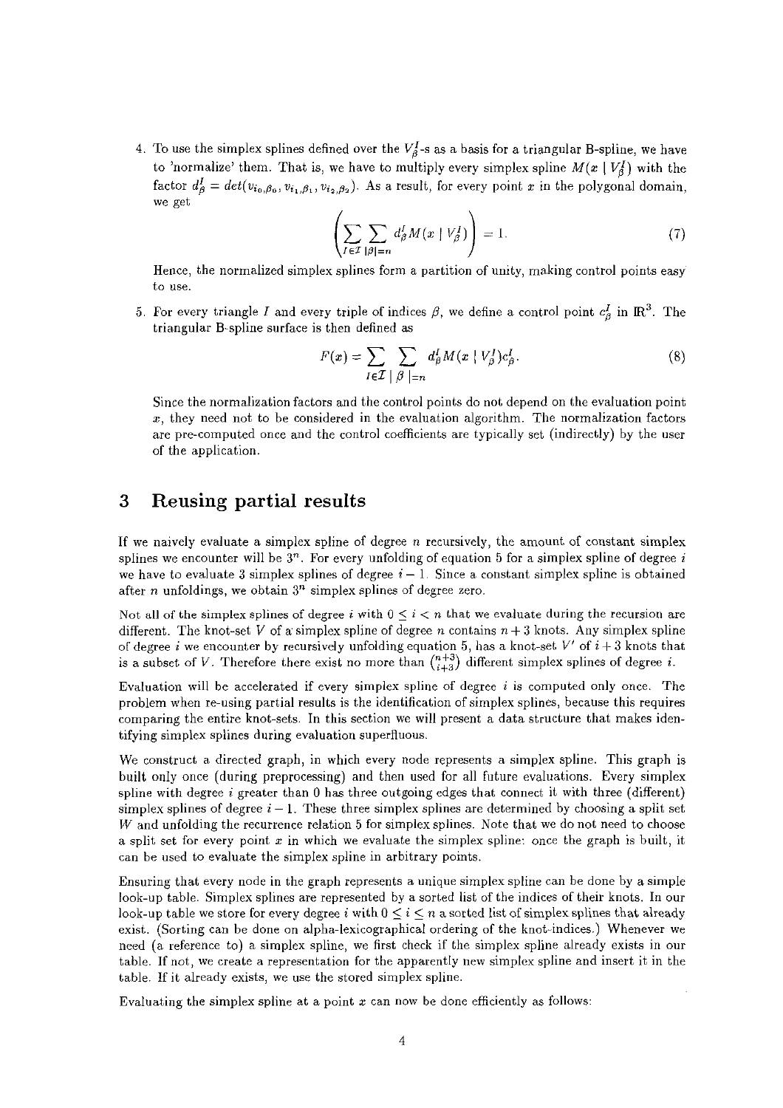4. To use the simplex splines defined over the  $V_{\beta}^{I}$ -s as a basis for a triangular B-spline, we have to 'normalize' them. That is, we have to multiply every simplex spline  $M(x | V_3^I)$  with the factor  $d^I_\beta = det(v_{i_0,\beta_0}, v_{i_1,\beta_1}, v_{i_2,\beta_2})$ . As a result, for every point *x* in the polygonal domain, we get

$$
\left(\sum_{I\in\mathcal{I}}\sum_{|\beta|=n}d_{\beta}^{I}M(x\mid V_{\beta}^{I})\right)=1.
$$
\n(7)

Hence, the normalized simplex splines form a partition of unity, making control points easy to use.

5. For every triangle I and every triple of indices  $\beta$ , we define a control point  $c_{\beta}^{I}$  in IR<sup>3</sup>. The triangular B-spline surface is then defined as

$$
F(x) = \sum_{I \in \mathcal{I}} \sum_{|\beta| = n} d_{\beta}^{I} M(x \mid V_{\beta}^{I}) c_{\beta}^{I}.
$$
 (8)

Since the normalization factors and the control points do not depend on the evaluation point *x,* they need not to be considered in the evaluation algorithm. The normalization factors are pre-computed once and the control coefficients are typically set (indirectly) by the user of the application.

### 3 Reusing partial results

If we naively evaluate a simplex spline of degree  $n$  recursively, the amount of constant simplex splines we encounter will be  $3<sup>n</sup>$ . For every unfolding of equation 5 for a simplex spline of degree i we have to evaluate 3 simplex splines of degree  $i - 1$ . Since a constant simplex spline is obtained after *n* unfoldings, we obtain  $3<sup>n</sup>$  simplex splines of degree zero.

Not all of the simplex splines of degree i with  $0 \leq i < n$  that we evaluate during the recursion are different. The knot-set V of a simplex spline of degree *n* contains  $n + 3$  knots. Any simplex spline of degree *i* we encounter by recursively unfolding equation 5, has a knot-set  $V'$  of  $i + 3$  knots that is a subset of *V*. Therefore there exist no more than  $\binom{n+3}{i+3}$  different simplex splines of degree *i*.

Evaluation will be accelerated if every simplex spline of degree i is computed only once. The problem when re-using partial results is the identification of simplex splines, because this requires comparing the entire knot-sets. In this section we will present a data structure that makes identifying simplex splines during evaluation superfluous.

We construct a directed graph, in which every node represents a simplex spline. This graph is built only once (during preprocessing) and then used for all future evaluations. Every simplex spline with degree  $i$  greater than 0 has three outgoing edges that connect it with three (different) simplex splines of degree  $i-1$ . These three simplex splines are determined by choosing a split set W and unfolding the recurrence relation 5 for simplex splines. Note that we do not need to choose a split set for every point *x* in which we evaluate the simplex spline: once the graph is built, it can be used to evaluate the simplex spline in arbitrary points.

Ensuring that every node in the graph represents a unique simplex spline can be done by a simple look-up table. Simplex splines are represented by a sorted list of the indices of their knots. In our look-up table we store for every degree i with  $0 \leq i \leq n$  a sorted list of simplex splines that already exist. (Sorting can be done on alpha-lexicographical ordering of the knot-indices.) Whenever we need (a reference to) a simplex spline, we first check if the simplex spline already exists in our table. If not, we create a representation for the apparently new simplex spline and insert it in the table. If it already exists, we use the stored simplex spline.

Evaluating the simplex spline at a point *x* can now be done efficiently as follows: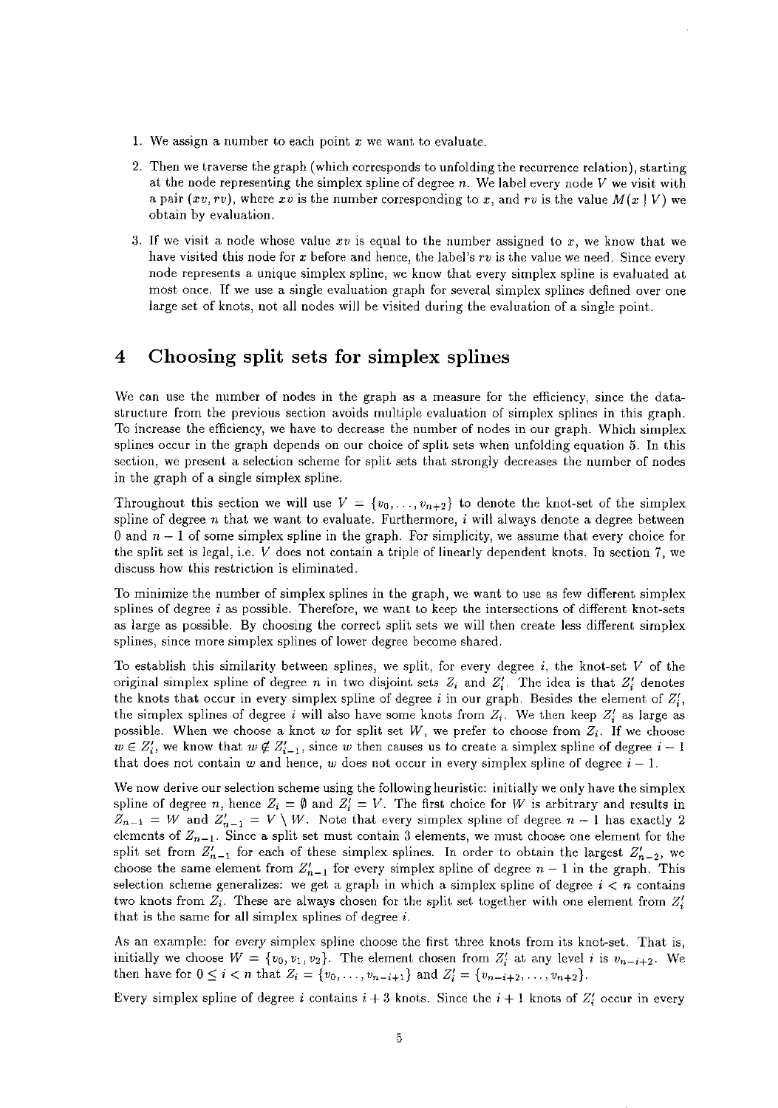- 1. We assign a number to each point *x* we want to evaluate.
- 2. Then we traverse the graph (which corresponds to unfolding the recurrence relation), starting at the node representing the simplex spline of degree *n.* We label every node *V* we visit with a pair  $(xv, rv)$ , where xv is the number corresponding to x, and rv is the value  $M(x | V)$  we obtain by evaluation.
- 3. If we visit a node whose value  $xv$  is equal to the number assigned to  $x$ , we know that we have visited this node for x before and hence, the label's rv is the value we need. Since every node represents a unique simplex spline, we know that every simplex spline is evaluated at most once. If we use a single evaluation graph for several simplex splines defined over one large set of knots, not all nodes will be visited during the evaluation of a single point.

## 4 Choosing split sets for simplex splines

We can use the number of nodes in the graph as a measure for the efficiency, since the datastructure from the previous section avoids multiple evaluation of simplex splines in this graph. To increase the efficiency, we have to decrease the number of nodes in our graph. Which simplex splines occur in the graph depends on our choice of split sets when unfolding equation 5. In this section, we present a selection scheme for split sets that strongly decreases the number of nodes in the graph of a single simplex spline.

Throughout this section we will use  $V = \{v_0, \ldots, v_{n+2}\}\)$  to denote the knot-set of the simplex spline of degree  $n$  that we want to evaluate. Furthermore,  $i$  will always denote a degree between 0 and  $n-1$  of some simplex spline in the graph. For simplicity, we assume that every choice for the split set is legal, i.e. *V* does not contain a triple of linearly dependent knots. In section 7, we discuss how this restriction is eliminated.

To minimize the number of simplex splines in the graph, we want to use as few different simplex splines of degree  $i$  as possible. Therefore, we want to keep the intersections of different knot-sets as large as possible. By choosing the correct split sets we will then create less different simplex splines, since more simplex splines of lower degree become shared.

To establish this similarity between splines, we split, for every degree i, the knot-set *V* of the original simplex spline of degree *n* in two disjoint sets *Zi* and *Zi.* The idea is that *Z:* denotes the knots that occur in every simplex spline of degree  $i$  in our graph. Besides the element of  $Z_i'$ , the simplex splines of degree i will also have some knots from  $Z_i$ . We then keep  $Z_i'$  as large as possible. When we choose a knot *w* for split set W, we prefer to choose from *Zi.* If we choose  $w \in Z_i'$ , we know that  $w \notin Z_{i-1}'$ , since *w* then causes us to create a simplex spline of degree  $i-1$ that does not contain w and hence, w does not occur in every simplex spline of degree  $i - 1$ .

We now derive our selection scheme using the following heuristic: initially we only have the simplex spline of degree *n*, hence  $Z_i = \emptyset$  and  $Z'_i = V$ . The first choice for W is arbitrary and results in  $Z_{n-1} = W$  and  $Z'_{n-1} = V \setminus W$ . Note that every simplex spline of degree  $n-1$  has exactly 2 elements of  $Z_{n-1}$ . Since a split set must contain 3 elements, we must choose one element for the split set from  $Z'_{n-1}$  for each of these simplex splines. In order to obtain the largest  $Z'_{n-2}$ , we choose the same element from  $Z'_{n-1}$  for every simplex spline of degree  $n-1$  in the graph. This selection scheme generalizes: we get a graph in which a simplex spline of degree  $i < n$  contains two knots from *Zi.* These are always chosen for the split set together with one element from *Z:*  that is the same for all simplex splines of degree  $i$ .

As an example: for *every* simplex spline choose the first three knots from its knot-set. That is, initially we choose  $W = \{v_0, v_1, v_2\}$ . The element chosen from  $Z_i'$  at any level *i* is  $v_{n-i+2}$ . We then have for  $0 \le i < n$  that  $Z_i = \{v_0, \ldots, v_{n-i+1}\}$  and  $Z'_i = \{v_{n-i+2}, \ldots, v_{n+2}\}.$ 

Every simplex spline of degree i contains  $i + 3$  knots. Since the  $i + 1$  knots of  $Z_i'$  occur in every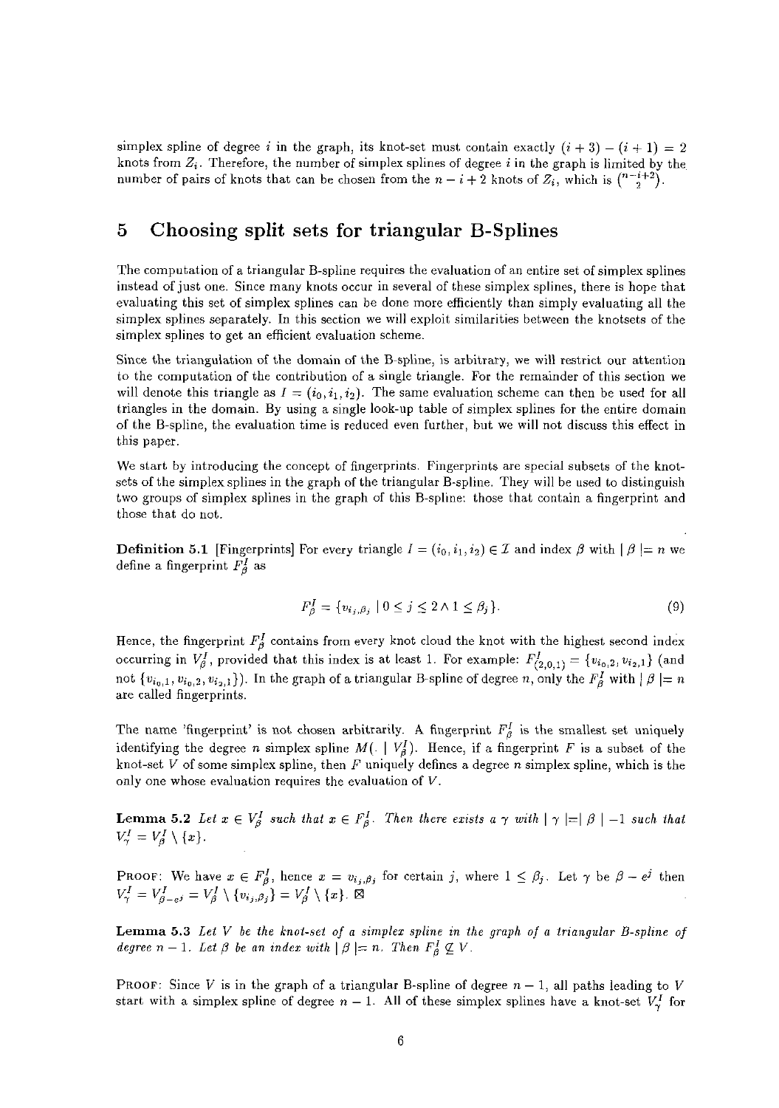simplex spline of degree i in the graph, its knot-set must contain exactly  $(i + 3) - (i + 1) = 2$ knots from  $Z_i$ . Therefore, the number of simplex splines of degree i in the graph is limited by the number of pairs of knots that can be chosen from the  $n - i + 2$  knots of  $Z_i$ , which is  $\binom{n-i+2}{2}$ .

## 5 Choosing split sets for triangular B-Splines

The computation of a triangular B-spline requires the evaluation of an entire set of simplex splines instead of just one. Since many knots occur in several of these simplex splines, there is hope that evaluating this set of simplex splines can be done more efficiently than simply evaluating all the simplex splines separately. In this section we will exploit similarities between the knotsets of the simplex splines to get an efficient evaluation scheme.

Since the triangulation of the domain of the B-spline, is arbitrary, we will restrict our attention to the computation of the contribution of a single triangle. For the remainder of this section we will denote this triangle as  $I = (i_0, i_1, i_2)$ . The same evaluation scheme can then be used for all triangles in the domain. By using a single look-up table of simplex splines for the entire domain of the B-spline, the evaluation time is reduced even further, but we will not discuss this effect in this paper.

We start by introducing the concept of fingerprints. Fingerprints are special subsets of the knotsets of the simplex splines in the graph of the triangular B-spline. They will be used to distinguish two groups of simplex splines in the graph of this B-spline: those that contain a fingerprint and those that do not.

**Definition 5.1** [Fingerprints] For every triangle  $I = (i_0, i_1, i_2) \in \mathcal{I}$  and index  $\beta$  with  $|\beta| = n$  we define a fingerprint  $F_{\beta}^{I}$  as

$$
F_{\beta}^{I} = \{v_{i_j, \beta_j} \mid 0 \le j \le 2 \land 1 \le \beta_j\}.
$$
\n
$$
(9)
$$

Hence, the fingerprint  $F_{\beta}^{I}$  contains from every knot cloud the knot with the highest second index occurring in  $V_{\beta}^I$ , provided that this index is at least 1. For example:  $F_{(2,0,1)}^I = \{v_{i_0,2}, v_{i_2,1}\}$  (and not  $\{v_{i_0,1}, v_{i_0,2}, v_{i_2,1}\}\)$ . In the graph of a triangular B-spline of degree *n*, only the  $F_\beta^I$  with  $|\beta|=n$ are called fingerprints.

The name 'fingerprint' is not chosen arbitrarily. A fingerprint  $F_{\beta}^{I}$  is the smallest set uniquely identifying the degree *n* simplex spline  $M(.) \mid V_A^I$ . Hence, if a fingerprint F is a subset of the knot-set V of some simplex spline, then F uniquely defines a degree *n* simplex spline, which is the only one whose evaluation requires the evaluation of *V.* 

**Lemma 5.2** Let  $x \in V_{\beta}^I$  such that  $x \in F_{\beta}^I$ . Then there exists a  $\gamma$  with  $|\gamma| = |\beta| - 1$  such that  $V^I_\gamma = V^I_\beta \setminus \{x\}.$ 

**PROOF:** We have  $x \in F_{\beta}^I$ , hence  $x = v_{i_j, \beta_j}$  for certain j, where  $1 \leq \beta_j$ . Let  $\gamma$  be  $\beta - e^j$  then  $V^I_{\gamma} = V^I_{\beta-e^j} = V^I_{\beta} \setminus \{v_{i_j,\beta_j}\} = V^I_{\beta} \setminus \{x\}.$   $\boxtimes$ 

Lemma 5.3 *Let V be the knot-set of a simplex spline in the graph of a triangular B-spline of degree*  $n-1$ *. Let*  $\beta$  *be an index with*  $|\beta| = n$ *. Then*  $F_{\beta}^I \nsubseteq V$ *.* 

PROOF: Since *V* is in the graph of a triangular B-spline of degree  $n-1$ , all paths leading to *V* start with a simplex spline of degree  $n-1$ . All of these simplex splines have a knot-set  $V^I_{\gamma}$  for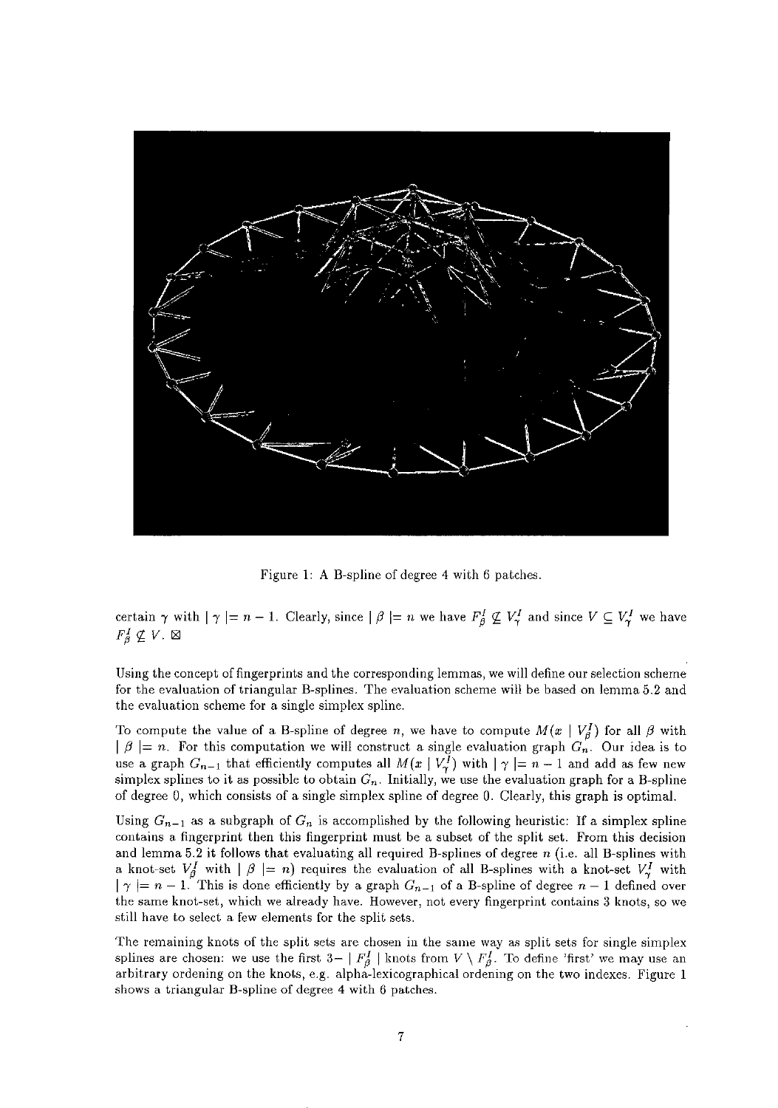

Figure 1: A B-spline of degree 4 with 6 patches.

certain  $\gamma$  with  $|\gamma| = n - 1$ . Clearly, since  $|\beta| = n$  we have  $F_{\beta}^I \nsubseteq V_{\gamma}^I$  and since  $V \subseteq V_{\gamma}^I$  we have  $F_{\beta}^I \nsubseteq V.$   $\boxtimes$ 

**Using the concept** of fingerprints **and the corresponding lemmas, we will define our selection scheme for the evaluation of triangular B-splines. The evaluation scheme will be based on lemma 5.2 and the evaluation scheme for a single simplex spline.** 

To compute the value of a B-spline of degree *n*, we have to compute  $M(x \mid V_{\beta}^{I})$  for all  $\beta$  with  $\mid \beta \mid = n$ . For this computation we will construct a single evaluation graph  $G_n$ . Our idea is to use a graph  $G_{n-1}$  that efficiently computes all  $M(x \mid V_i^{\bar{I}})$  with  $|\gamma| = n-1$  and add as few new simplex splines to it as possible to obtain  $G_n$ . Initially, we use the evaluation graph for a B-spline of degree 0, which consists of a single simplex spline of degree 0. Clearly, this graph is optimal.

Using  $G_{n-1}$  as a subgraph of  $G_n$  is accomplished by the following heuristic: If a simplex spline **contains a fingerprint then this fingerprint must be a subset of the split set. From this decision**  and lemma 5.2 it follows that evaluating all required B-splines of degree *n* (i.e. all B-splines with a knot-set  $V^I_\beta$  with  $|\beta| = n$ ) requires the evaluation of all B-splines with a knot-set  $V^I_\gamma$  with  $| \gamma | = n - 1$ . This is done efficiently by a graph  $G_{n-1}$  of a B-spline of degree  $n-1$  defined over **the same knot-set, which we already have. However, not every fingerprint contains 3 knots, so we**  still have to select a few elements for the split sets.

The remaining knots of the split sets are chosen in the same way as split sets for single simplex splines are chosen: we use the first  $3 - |F_{\beta}^I|$  knots from  $V \setminus F_{\beta}^I$ . To define 'first' we may use an **arbitrary ordening on the knots, e.g. alpha-lexicographical ordening on the two indexes. Figure 1 shows a triangular B-spline of degree 4 with 6 patches.**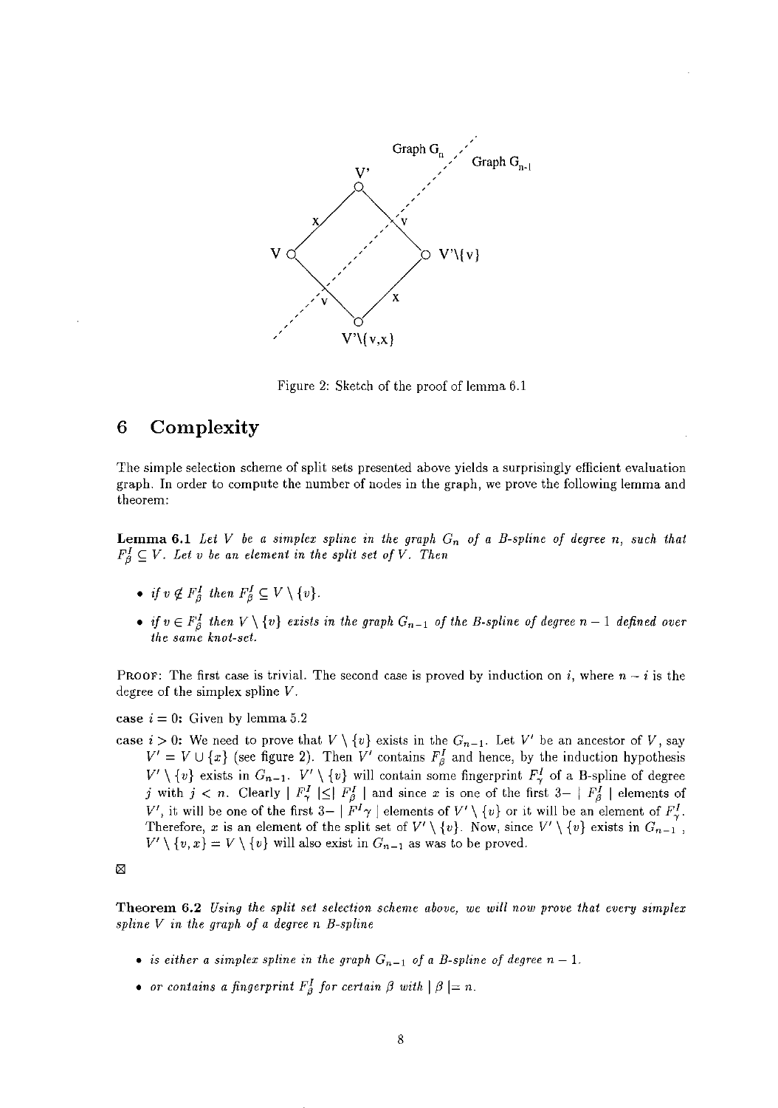

Figure 2: Sketch of the proof of lemma 6.1

## **6 Complexity**

**The simple selection scheme of split sets presented above yields a surprisingly efficient evaluation graph. In order to compute the number of nodes in the graph, we prove the following lemma and theorem:** 

**Lemma 6.1** *Let V be a simplex spline in the graph Gn of a B-spline of degree n, such that*   $F^I_{\beta} \subseteq V$ . Let v be an element in the split set of V. Then

- *if*  $v \notin F^I_\beta$  then  $F^I_\beta \subseteq V \setminus \{v\}.$
- *if*  $v \in F_{\beta}^I$  then  $V \setminus \{v\}$  exists in the graph  $G_{n-1}$  of the B-spline of degree  $n-1$  defined over *the same knot-set.*

**PROOF:** The first case is trivial. The second case is proved by induction on  $i$ , where  $n - i$  is the degree of the simplex spline *V.* 

case  $i = 0$ : Given by lemma 5.2

case  $i > 0$ : We need to prove that  $V \setminus \{v\}$  exists in the  $G_{n-1}$ . Let  $V'$  be an ancestor of V, say  $V' = V \cup \{x\}$  (see figure 2). Then  $V'$  contains  $F^I_\beta$  and hence, by the induction hypothesis  $V' \setminus \{v\}$  exists in  $G_{n-1}$ .  $V' \setminus \{v\}$  will contain some fingerprint  $F^I_{\gamma}$  of a B-spline of degree j with  $j < n$ . Clearly  $|F_{\gamma}^I| \leq |F_{\beta}^I|$  and since *x* is one of the first  $3-|F_{\beta}^I|$  elements of *V'*, it will be one of the first  $3- |F^I \gamma|$  elements of  $V' \setminus \{v\}$  or it will be an element of  $F^I_{\gamma}$ . Therefore, *x* is an element of the split set of  $V' \setminus \{v\}$ . Now, since  $V' \setminus \{v\}$  exists in  $G_{n-1}$  $V' \setminus \{v, x\} = V \setminus \{v\}$  will also exist in  $G_{n-1}$  as was to be proved.

⊠

**Theorem 6.2** *Using the split set selection scheme above, we will now prove that every simplex spline V in the graph of a degree n B-spline* 

- *is either a simplex spline in the graph*  $G_{n-1}$  *of a B-spline of degree*  $n-1$ *.*
- or contains a fingerprint  $F_{\beta}^I$  for certain  $\beta$  with  $|\beta| = n$ .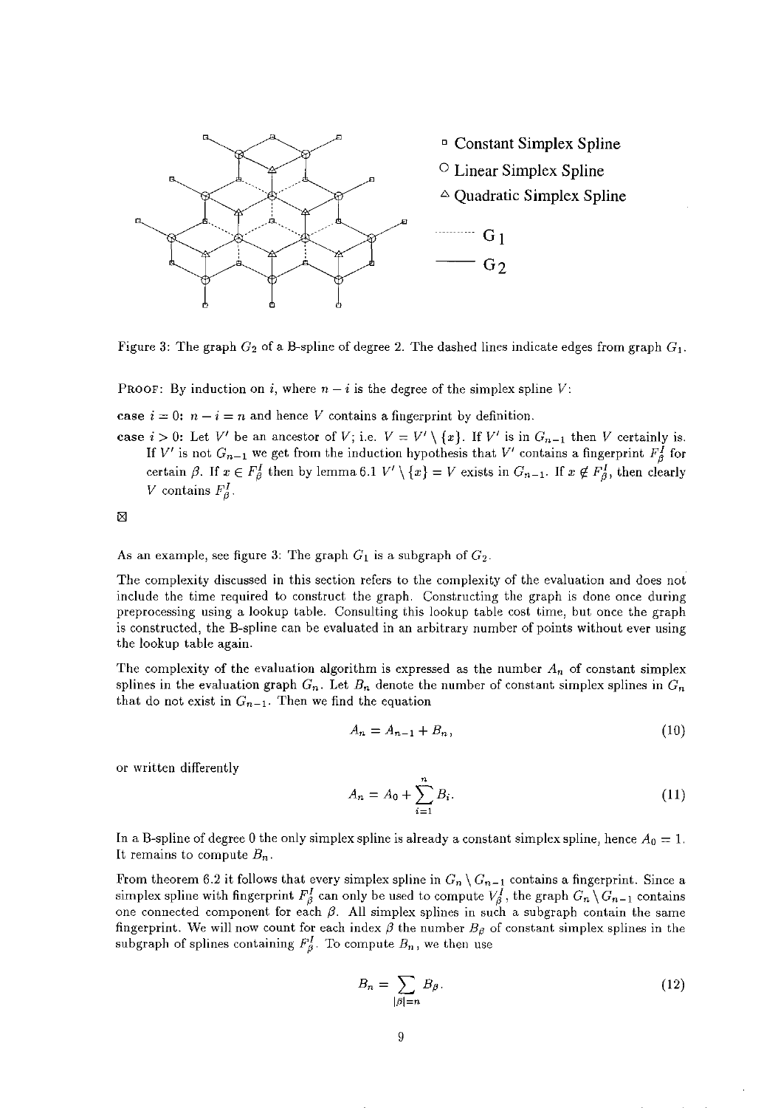

Figure 3: The graph  $G_2$  of a B-spline of degree 2. The dashed lines indicate edges from graph  $G_1$ .

PROOF: By induction on *i*, where  $n - i$  is the degree of the simplex spline  $V$ :

case  $i = 0$ :  $n - i = n$  and hence *V* contains a fingerprint by definition.

case  $i > 0$ : Let *V'* be an ancestor of *V*; i.e.  $V = V' \setminus \{x\}$ . If *V'* is in  $G_{n-1}$  then *V* certainly is. If V' is not  $G_{n-1}$  we get from the induction hypothesis that V' contains a fingerprint  $F_{\beta}^I$  for certain  $\beta$ . If  $x \in F_{\beta}^I$  then by lemma 6.1  $V' \setminus \{x\} = V$  exists in  $G_{n-1}$ . If  $x \notin F_{\beta}^I$ , then clearly V contains  $F_a^I$ .

⊠

As an example, see figure 3: The graph  $G_1$  is a subgraph of  $G_2$ .

The complexity discussed in this section refers to the complexity of the evaluation and does not include the time required to construct the graph. Constructing the graph is done once during preprocessing using a lookup table. Consulting this lookup table cost time, but once the graph is constructed, the B-spline can be evaluated in an arbitrary number of points without ever using the lookup table again.

The complexity of the evaluation algorithm is expressed as the number  $A_n$  of constant simplex splines in the evaluation graph  $G_n$ . Let  $B_n$  denote the number of constant simplex splines in  $G_n$ that do not exist in  $G_{n-1}$ . Then we find the equation

$$
A_n = A_{n-1} + B_n,\tag{10}
$$

or written differently *<sup>n</sup>*

$$
A_n = A_0 + \sum_{i=1}^n B_i.
$$
 (11)

In a B-spline of degree 0 the only simplex spline is already a constant simplex spline, hence  $A_0 = 1$ . It remains to compute  $B_n$ .

From theorem 6.2 it follows that every simplex spline in  $G_n \setminus G_{n-1}$  contains a fingerprint. Since a simplex spline with fingerprint  $F^I_\beta$  can only be used to compute  $V^I_\beta$ , the graph  $G_n \setminus G_{n-1}$  contains one connected component for each  $\beta$ . All simplex splines in such a subgraph contain the same fingerprint. We will now count for each index  $\beta$  the number  $B_{\beta}$  of constant simplex splines in the subgraph of splines containing  $F_{\beta}^{I}$ . To compute  $B_n$ , we then use

$$
B_n = \sum_{|\beta|=n} B_\beta. \tag{12}
$$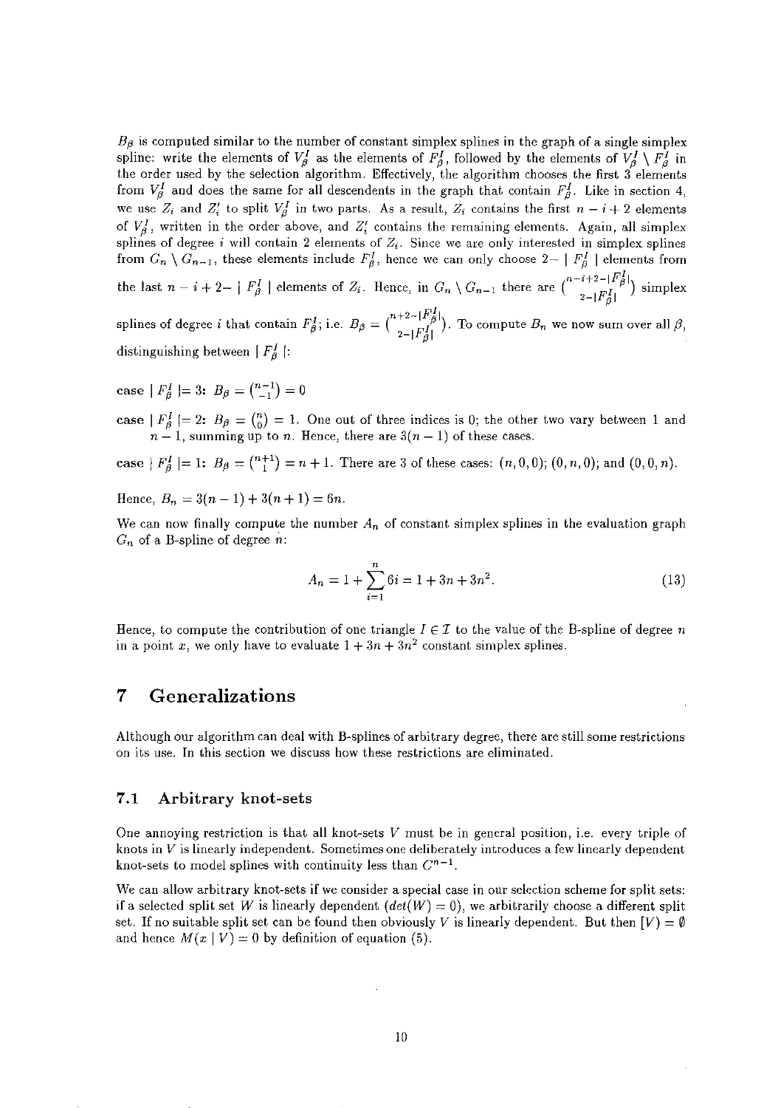$B_{\beta}$  is computed similar to the number of constant simplex splines in the graph of a single simplex spline: write the elements of  $V_{\beta}^{I}$  as the elements of  $F_{\beta}^{I}$ , followed by the elements of  $V_{\beta}^{I} \setminus F_{\beta}^{I}$  in the order used by the selection algorithm. Effectively, the algorithm chooses the first 3 elements from  $V^I_\beta$  and does the same for all descendents in the graph that contain  $F^I_\beta$ . Like in section 4, we use  $Z_i$  and  $Z'_i$  to split  $V_{\beta}^I$  in two parts. As a result,  $Z_i$  contains the first  $n-i+2$  elements of  $V_{\beta}$ , written in the order above, and  $Z_i'$  contains the remaining elements. Again, all simplex splines of degree *i* will contain 2 elements of  $Z_i$ . Since we are only interested in simplex splines from  $G_n \setminus G_{n-1}$ , these elements include  $F_\beta^I$ , hence we can only choose  $2 - |F_\beta^I|$  elements from the last  $n-i+2-|F_{\beta}^{I}|$  elements of  $Z_i$ . Hence, in  $G_n \setminus G_{n-1}$  there are  $\binom{n-i+2-|F_{\beta}^{I}|}{2-|F_{\beta}^{I}|}$  simplex

splines of degree *i* that contain  $F_{\beta}^I$ ; i.e.  $B_{\beta} = {n+2-|F_{\beta}^I| \choose 2-|F_{\beta}^I|}$ . To compute  $B_n$  we now sum over all  $\beta$ , distinguishing between  $|F_{\theta}^{I}|$ :

case  $|F_{\beta}^{I}|= 3: B_{\beta} = \binom{n-1}{-1} = 0$ 

case  $|F_{\beta}^{I}|= 2$ :  $B_{\beta} = {n \choose 0} = 1$ . One out of three indices is 0; the other two vary between 1 and  $n-1$ , summing up to *n*. Hence, there are  $3(n-1)$  of these cases.

case  $|F_{\beta}| = 1$ :  $B_{\beta} = {n+1 \choose 1} = n+1$ . There are 3 of these cases:  $(n, 0, 0)$ ;  $(0, n, 0)$ ; and  $(0, 0, n)$ .

Hence,  $B_n = 3(n-1) + 3(n+1) = 6n$ .

We can now finally compute the number  $A_n$  of constant simplex splines in the evaluation graph G*n* of a B~spline of degree *n:* 

$$
A_n = 1 + \sum_{i=1}^{n} 6i = 1 + 3n + 3n^2.
$$
 (13)

Hence, to compute the contribution of one triangle  $I \in \mathcal{I}$  to the value of the B-spline of degree *n* in a point *x*, we only have to evaluate  $1 + 3n + 3n^2$  constant simplex splines.

## 7 Generalizations

Although our algorithm can deal with B-splines of arbitrary degree, there are still some restrictions on its use. In this section we discuss how these restrictions are eliminated.

#### 7.1 Arbitrary knot-sets

One annoying restriction is that all knot-sets *V* must be in general position, i.e. every triple of knots in *V* is linearly independent. Sometimes one deliberately introduces a few linearly dependent knot-sets to model splines with continuity less than  $C^{n-1}$ .

We can allow arbitrary knot-sets if we consider a special case in our selection scheme for split sets: if a selected split set W is linearly dependent  $(det(W) = 0)$ , we arbitrarily choose a different split set. If no suitable split set can be found then obviously V is linearly dependent. But then  $[V] = \emptyset$ and hence  $M(x | V) = 0$  by definition of equation (5).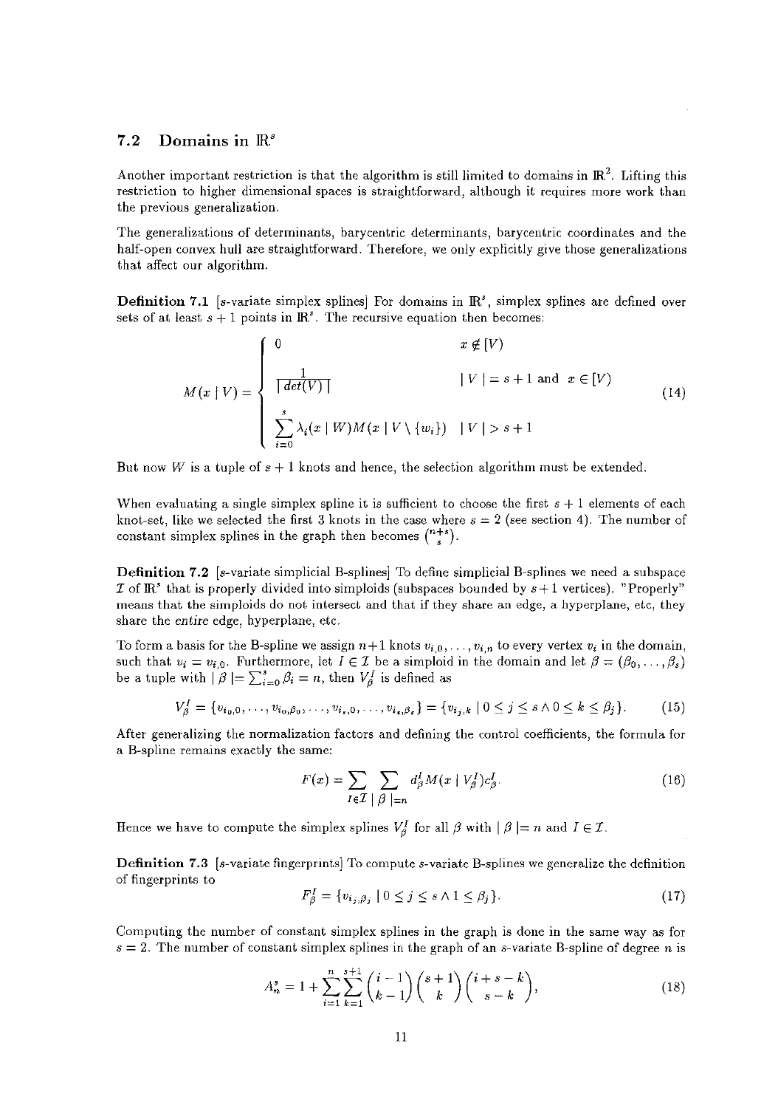#### 7.2 Domains in  $\mathbb{R}^s$

Another important restriction is that the algorithm is still limited to domains in  $\mathbb{R}^2$ . Lifting this restriction to higher dimensional spaces is straightforward, although it requires more work than the previous generalization.

The generalizations of determinants, barycentric determinants, barycentric coordinates and the half-open convex **hull** are straightforward. Therefore, we only explicitly give those generalizations that affect our algorithm.

**Definition 7.1** [s-variate simplex splines] For domains in  $\mathbb{R}^s$ , simplex splines are defined over sets of at least  $s + 1$  points in  $\mathbb{R}^s$ . The recursive equation then becomes:

$$
M(x | V) = \begin{cases} 0 & x \notin [V) \\ \frac{1}{\lceil det(V) \rceil} & |V| = s + 1 \text{ and } x \in [V) \\ \sum_{i=0}^{s} \lambda_i(x | W) M(x | V \setminus \{w_i\}) & |V| > s + 1 \end{cases}
$$
(14)

But now *W* is a tuple of  $s + 1$  knots and hence, the selection algorithm must be extended.

When evaluating a single simplex spline it is sufficient to choose the first *s* + 1 elements of each knot-set, like we selected the first 3 knots in the case where  $s = 2$  (see section 4). The number of constant simplex splines in the graph then becomes  $\binom{n+s}{s}$ .

Definition 7.2 [s-variate simplicial B-splines] To define simplicial B-splines we need a subspace I of  $\mathbb{R}^s$  that is properly divided into simploids (subspaces bounded by  $s+1$  vertices). "Properly" means that the simploids do not intersect and that if they share an edge, a hyperplane, etc, they share the *entire* edge, hyperplane, etc.

To form a basis for the B-spline we assign  $n+1$  knots  $v_{i,0}, \ldots, v_{i,n}$  to every vertex  $v_i$  in the domain, such that  $v_i = v_{i,0}$ . Furthermore, let  $I \in \mathcal{I}$  be a simploid in the domain and let  $\beta = (\beta_0, \ldots, \beta_s)$ be a tuple with  $\beta \models \sum_{i=0}^{s} \beta_i = n$ , then  $V_{\beta}^{I}$  is defined as

$$
V_{\beta}^{I} = \{v_{i_0,0}, \ldots, v_{i_0,\beta_0}, \ldots, v_{i_s,0}, \ldots, v_{i_s,\beta_s}\} = \{v_{i_j,k} \mid 0 \le j \le s \land 0 \le k \le \beta_j\}.
$$
 (15)

After generalizing the normalization factors and defining the control coefficients, the formula for a B-spline remains exactly the same:

$$
F(x) = \sum_{I \in \mathcal{I}} \sum_{\substack{\beta \mid n}} d_{\beta}^{I} M(x \mid V_{\beta}^{I}) c_{\beta}^{I}.
$$
 (16)

Hence we have to compute the simplex splines  $V_{\beta}^{I}$  for all  $\beta$  with  $|\beta| = n$  and  $I \in \mathcal{I}$ .

**Definition 7.3** [s-variate fingerprints) To compute s-variate B-splines we generalize the definition of fingerprints to

$$
F_{\beta}^{I} = \{v_{i_j,\beta_j} \mid 0 \le j \le s \land 1 \le \beta_j\} \tag{17}
$$

Computing the number of constant simplex splines in the graph is done in the same way as for  $s = 2$ . The number of constant simplex splines in the graph of an s-variate B-spline of degree *n* is

$$
A_n^s = 1 + \sum_{i=1}^n \sum_{k=1}^{s+1} \binom{i-1}{k-1} \binom{s+1}{k} \binom{i+s-k}{s-k},\tag{18}
$$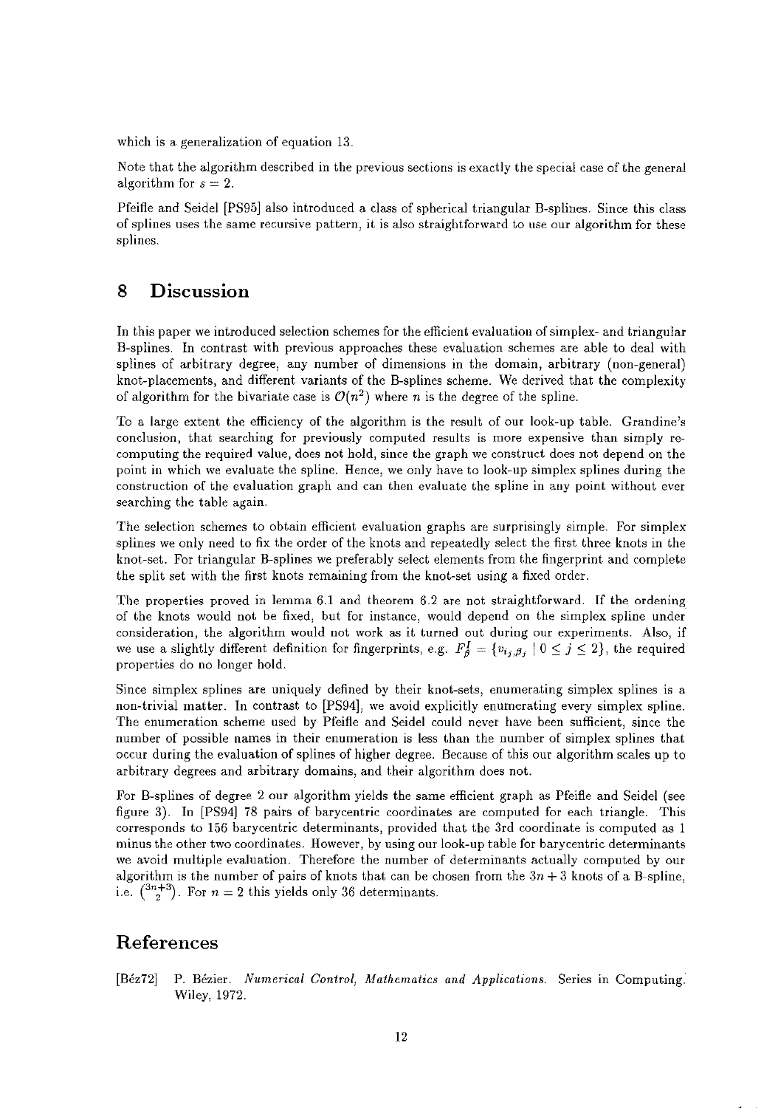which is a generalization of equation 13.

Note that the algorithm described in the previous sections is exactly the special case of the general algorithm for  $s = 2$ .

Pfeifle and Seidel [PS95] also introduced a class of spherical triangular B-splines. Since this class of splines uses the same recursive pattern, it is also straightforward to use our algorithm for these splines.

## 8 Discussion

In this paper we introduced selection schemes for the efficient evaluation of simplex- and triangular B-splines. In contrast with previous approaches these evaluation schemes are able to deal with splines of arbitrary degree, any number of dimensions in the domain, arbitrary (non-general) knot-placements, and different variants of the B-splines scheme. We derived that the complexity of algorithm for the bivariate case is  $\mathcal{O}(n^2)$  where *n* is the degree of the spline.

To a large extent the efficiency of the algorithm is the result of our look-up table. Grandine's conclusion, that searching for previously computed results is more expensive than simply recomputing the required value, does not hold, since the graph we construct does not depend on the point in which we evaluate the spline. Hence, we only have to look-up simplex splines during the construction of the evaluation graph and can then evaluate the spline in any point without ever searching the table again.

The selection schemes to obtain efficient evaluation graphs are surprisingly simple. For simplex splines we only need to fix the order of the knots and repeatedly select the first three knots in the knot-set. For triangular B-splines we preferably select elements from the fingerprint and complete the split set with the first knots remaining from the knot-set using a fixed order.

The properties proved in lemma 6.1 and theorem 6.2 are not straightforward. If the ordening of the knots would not be fixed, but for instance, would depend on the simplex spline under consideration, the algorithm would not work as it turned out during our experiments. Also, if we use a slightly different definition for fingerprints, e.g.  $F_{\beta}^{I} = \{v_{i_j, \beta_j} \mid 0 \leq j \leq 2\}$ , the required properties do no longer hold.

Since simplex splines are uniquely defined by their knot-sets, enumerating simplex splines is a non-trivial matter. In contrast to [PS94], we avoid explicitly enumerating every simplex spline. The enumeration scheme used by Pfeifle and Seidel could never have been sufficient, since the number of possible names in their enumeration is less than the number of simplex splines that occur during the evaluation of splines of higher degree. Because of this our algorithm scales up to arbitrary degrees and arbitrary domains, and their algorithm does not.

For B-splines of degree 2 our algorithm yields the same efficient graph as Pfeifle and Seidel (see figure 3). In [PS94] 78 pairs of barycentric coordinates are computed for each triangle. This corresponds to 156 barycentric determinants, provided that the 3rd coordinate is computed as 1 minus the other two coordinates. However, by using our look-up table for barycentric determinants we avoid multiple evaluation. Therefore the number of determinants actually computed by our algorithm is the number of pairs of knots that can be chosen from the  $3n + 3$  knots of a B-spline, i.e.  $\binom{3n+3}{2}$ . For  $n = 2$  this yields only 36 determinants.

## References

[Béz72] P. Bézier. *Numerical Control, Mathematics and Applications*. Series in Computing. Wiley, 1972.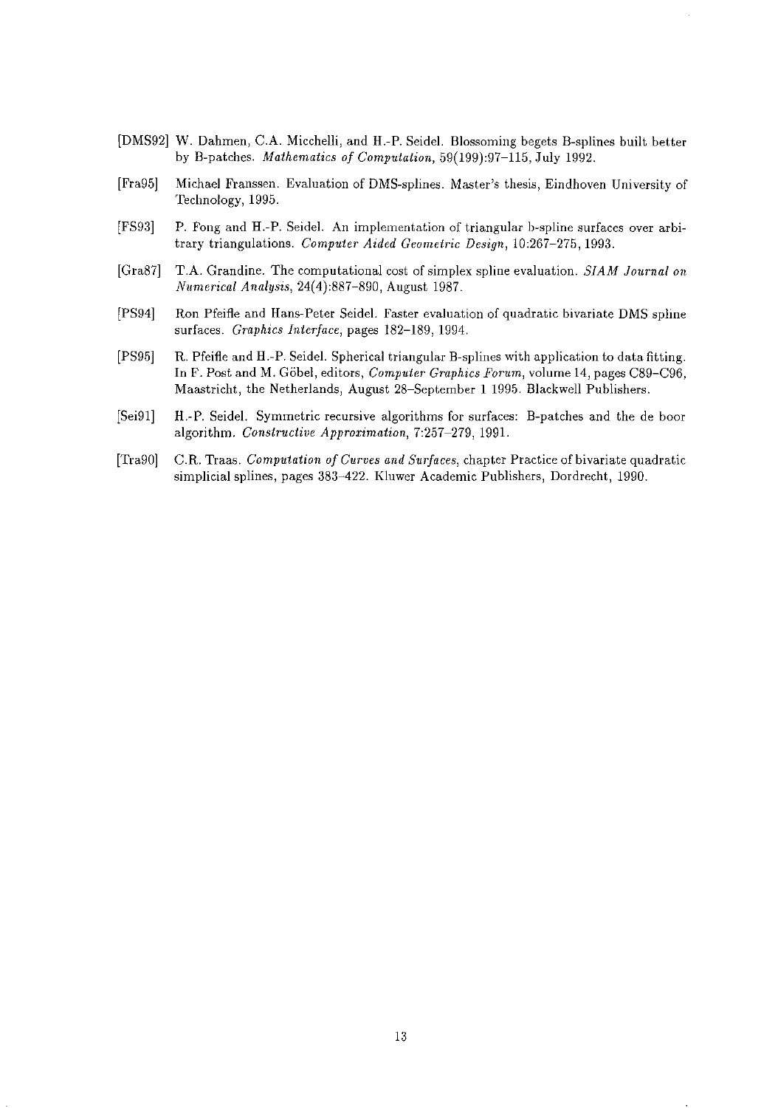- [DMS92] W. Dahmen, C.A. Micchelli, and H.-P. Seidel. Blossoming begets B-splines built better by B-patches. *Mathematics of Computation,* 59(199):97-115, July 1992.
- [Fra95] Michael Franssen. Evaluation of DMS-splines. Master's thesis, Eindhoven University of Technology, 1995.
- [FS93] P. Fong and H.-P. Seidel. An implementation of triangular b-spline surfaces over arbitrary triangulations. *Computer Aided Geometric Design,* 10:267-275,1993.
- [Gra87] T.A. Grandine. The computational cost of simplex spline evaluation. *SIAM Journal on N1tmerical Analysis,* 24(4):887-890, August 1987.
- [PS94] Ron Pfeifle and Hans-Peter Seidel. Faster evaluation of quadratic bivariate DMS spline surfaces. *Graphics Interface,* pages 182-189,1994.
- [PS95] R. Pfeifle and H.-P. Seidel. Spherical triangular B-splines with application to data fitting. In F. Post and M. Gobel, editors, *Computer Graphics Forum,* volume 14, pages *C89-C96,*  Maastricht, the Netherlands, August 28-September 1 1995. Blackwell Publishers.
- [Sei91] H.-P. Seidel. Symmetric recursive algorithms for surfaces: B-patches and the de boor algorithm. *Constructive Approximation,* 7:257-279, 1991.
- [Tra90] C.R. Traas. *Computation of Curves and Surfaces,* chapter Practice of bivariate quadratic simplicial splines, pages 383-422. Kluwer Academic Publishers, Dordrecht, 1990.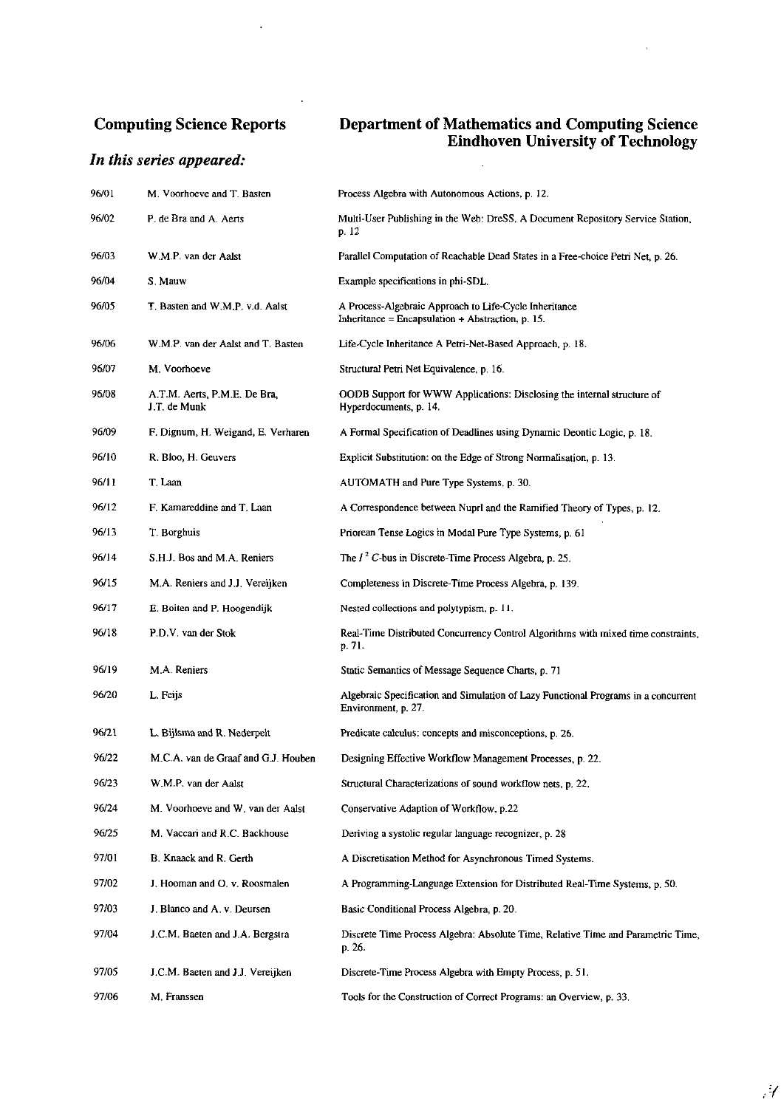## Computing Science Reports

 $\mathcal{A}^{\mathcal{A}}$ 

 $\bar{\mathcal{A}}$ 

## *In this series appeared:*

#### Department of Mathematics and Computing Science Eindhoven University of Technology

 $\mathbb{R}^2$ 

 $\alpha$ 

| 96/01 | M. Voorhoeve and T. Basten                   | Process Algebra with Autonomous Actions, p. 12.                                                             |
|-------|----------------------------------------------|-------------------------------------------------------------------------------------------------------------|
| 96/02 | P. de Bra and A. Aerts                       | Multi-User Publishing in the Web: DreSS, A Document Repository Service Station,<br>p. 12                    |
| 96/03 | W.M.P. van der Aalst                         | Parallel Computation of Reachable Dead States in a Free-choice Petri Net, p. 26.                            |
| 96/04 | S. Mauw                                      | Example specifications in phi-SDL.                                                                          |
| 96/05 | T. Basten and W.M.P. v.d. Aalst              | A Process-Algebraic Approach to Life-Cycle Inheritance<br>Inheritance = Encapsulation + Abstraction, p. 15. |
| 96/06 | W.M.P. van der Aalst and T. Basten           | Life-Cycle Inheritance A Petri-Net-Based Approach, p. 18.                                                   |
| 96/07 | M. Voorhoeve                                 | Structural Petri Net Equivalence, p. 16.                                                                    |
| 96/08 | A.T.M. Aerts, P.M.E. De Bra,<br>J.T. de Munk | OODB Support for WWW Applications: Disclosing the internal structure of<br>Hyperdocuments, p. 14.           |
| 96/09 | F. Dignum, H. Weigand, E. Verharen           | A Formal Specification of Deadlines using Dynamic Deontic Logic, p. 18.                                     |
| 96/10 | R. Bloo, H. Geuvers                          | Explicit Substitution: on the Edge of Strong Normalisation, p. 13.                                          |
| 96/11 | T. Laan                                      | AUTOMATH and Pure Type Systems, p. 30.                                                                      |
| 96/12 | F. Kamareddine and T. Laan                   | A Correspondence between Nuprl and the Ramified Theory of Types, p. 12.                                     |
| 96/13 | T. Borghuis                                  | Priorean Tense Logics in Modal Pure Type Systems, p. 61                                                     |
| 96/14 | S.H.J. Bos and M.A. Reniers                  | The $I^2$ C-bus in Discrete-Time Process Algebra, p. 25.                                                    |
| 96/15 | M.A. Reniers and J.J. Vereijken              | Completeness in Discrete-Time Process Algebra, p. 139.                                                      |
| 96/17 | E. Boiten and P. Hoogendijk                  | Nested collections and polytypism, p. 11.                                                                   |
| 96/18 | P.D.V. van der Stok                          | Real-Time Distributed Concurrency Control Algorithms with mixed time constraints,<br>p. 71.                 |
| 96/19 | M.A. Reniers                                 | Static Semantics of Message Sequence Charts, p. 71                                                          |
| 96/20 | L. Feijs                                     | Algebraic Specification and Simulation of Lazy Functional Programs in a concurrent<br>Environment, p. 27.   |
| 96/21 | L. Bijlsma and R. Nederpelt                  | Predicate calculus: concepts and misconceptions, p. 26.                                                     |
| 96/22 | M.C.A. van de Graaf and G.J. Houben          | Designing Effective Workflow Management Processes, p. 22.                                                   |
| 96/23 | W.M.P. van der Aalst                         | Structural Characterizations of sound workflow nets, p. 22.                                                 |
| 96/24 | M. Voorhoeve and W. van der Aalst            | Conservative Adaption of Workflow, p.22                                                                     |
| 96/25 | M. Vaccari and R.C. Backhouse                | Deriving a systolic regular language recognizer, p. 28                                                      |
| 97/01 | B. Knaack and R. Gerth                       | A Discretisation Method for Asynchronous Timed Systems.                                                     |
| 97/02 | J. Hooman and O. v. Roosmalen                | A Programming-Language Extension for Distributed Real-Time Systems, p. 50.                                  |
| 97/03 | J. Blanco and A. v. Deursen                  | Basic Conditional Process Algebra, p. 20.                                                                   |
| 97/04 | J.C.M. Baeten and J.A. Bergstra              | Discrete Time Process Algebra: Absolute Time, Relative Time and Parametric Time,<br>р. 26.                  |
| 97/05 | J.C.M. Baeten and J.J. Vereijken             | Discrete-Time Process Algebra with Empty Process, p. 51.                                                    |
| 97/06 | M. Franssen                                  | Tools for the Construction of Correct Programs: an Overview, p. 33.                                         |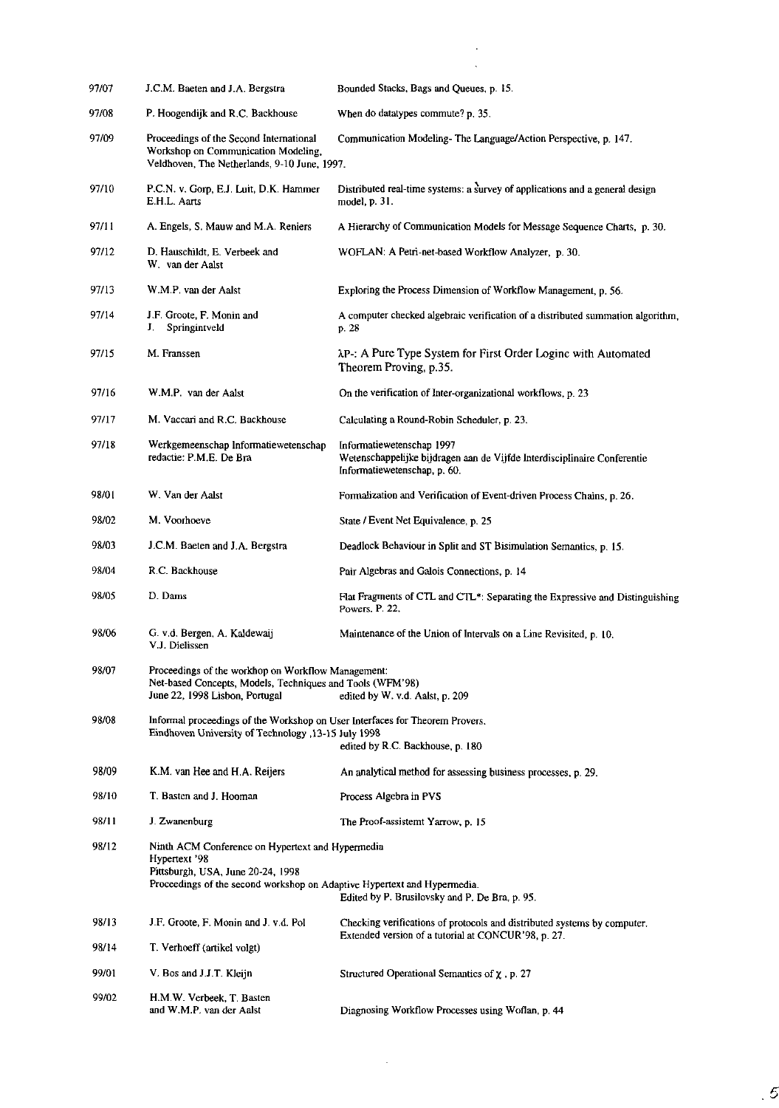| 97/07 | J.C.M. Baeten and J.A. Bergstra                                                                                                                                                                                                     | Bounded Stacks, Bags and Queues, p. 15.                                                                                               |
|-------|-------------------------------------------------------------------------------------------------------------------------------------------------------------------------------------------------------------------------------------|---------------------------------------------------------------------------------------------------------------------------------------|
| 97/08 | P. Hoogendijk and R.C. Backhouse                                                                                                                                                                                                    | When do datatypes commute? p. 35.                                                                                                     |
| 97/09 | Proceedings of the Second International<br>Workshop on Communication Modeling,<br>Veldhoven, The Netherlands, 9-10 June, 1997.                                                                                                      | Communication Modeling-The Language/Action Perspective, p. 147.                                                                       |
| 97/10 | P.C.N. v. Gorp, E.J. Luit, D.K. Hammer<br>E.H.L. Aarts                                                                                                                                                                              | Distributed real-time systems: a survey of applications and a general design<br>model, p. 31.                                         |
| 97/11 | A. Engels, S. Mauw and M.A. Reniers                                                                                                                                                                                                 | A Hierarchy of Communication Models for Message Sequence Charts, p. 30.                                                               |
| 97/12 | D. Hauschildt, E. Verbeek and<br>W van der Aalst                                                                                                                                                                                    | WOFLAN: A Petri-net-based Workflow Analyzer, p. 30.                                                                                   |
| 97/13 | W M P, van der Aalst                                                                                                                                                                                                                | Exploring the Process Dimension of Workflow Management, p. 56.                                                                        |
| 97/14 | J.F. Groote, F. Monin and<br>Springintveld<br>J.                                                                                                                                                                                    | A computer checked algebraic verification of a distributed summation algorithm,<br>p. 28                                              |
| 97/15 | M. Franssen                                                                                                                                                                                                                         | AP-: A Pure Type System for First Order Loginc with Automated<br>Theorem Proving, p.35.                                               |
| 97/16 | W.M.P. van der Aalst                                                                                                                                                                                                                | On the verification of Inter-organizational workflows, p. 23                                                                          |
| 97/17 | M. Vaccari and R.C. Backhouse                                                                                                                                                                                                       | Calculating a Round-Robin Scheduler, p. 23.                                                                                           |
| 97/18 | Werkgemeenschap Informatiewetenschap<br>redactie: P.M.E. De Bra                                                                                                                                                                     | Informatiewetenschap 1997<br>Wetenschappelijke bijdragen aan de Vijfde Interdisciplinaire Conferentie<br>Informatiewetenschap, p. 60. |
| 98/01 | W. Van der Aalst                                                                                                                                                                                                                    | Formalization and Verification of Event-driven Process Chains, p. 26.                                                                 |
| 98/02 | M. Voorhoeve                                                                                                                                                                                                                        | State / Event Net Equivalence, p. 25                                                                                                  |
| 98/03 | J.C.M. Baeten and J.A. Bergstra                                                                                                                                                                                                     | Deadlock Behaviour in Split and ST Bisimulation Semantics, p. 15.                                                                     |
| 98/04 | R.C. Backhouse                                                                                                                                                                                                                      | Pair Algebras and Galois Connections, p. 14                                                                                           |
| 98/05 | D. Dams                                                                                                                                                                                                                             | Flat Fragments of CTL and CTL*: Separating the Expressive and Distinguishing<br>Powers, P. 22.                                        |
| 98/06 | G. v.d. Bergen, A. Kaldewaij<br>V J. Dielissen                                                                                                                                                                                      | Maintenance of the Union of Intervals on a Line Revisited, p. 10.                                                                     |
| 98/07 | Proceedings of the workhop on Workflow Management:<br>Net-based Concepts, Models, Techniques and Tools (WFM'98)<br>June 22, 1998 Lisbon, Portugal<br>edited by W. v.d. Aalst, p. 209                                                |                                                                                                                                       |
| 98/08 | Informal proceedings of the Workshop on User Interfaces for Theorem Provers.<br>Eindhoven University of Technology , 13-15 July 1998<br>edited by R.C. Backhouse, p. 180                                                            |                                                                                                                                       |
| 98/09 | K.M. van Hee and H.A. Reijers                                                                                                                                                                                                       | An analytical method for assessing business processes, p. 29.                                                                         |
| 98/10 | T. Basten and J. Hooman                                                                                                                                                                                                             | Process Algebra in PVS                                                                                                                |
| 98/11 | J. Zwanenburg                                                                                                                                                                                                                       | The Proof-assistemt Yarrow, p. 15                                                                                                     |
| 98/12 | Ninth ACM Conference on Hypertext and Hypermedia<br>Hypertext 98<br>Pittsburgh, USA, June 20-24, 1998<br>Proceedings of the second workshop on Adaptive Hypertext and Hypermedia.<br>Edited by P. Brusilovsky and P. De Bra, p. 95. |                                                                                                                                       |
| 98/13 | J.F. Groote, F. Monin and J. v.d. Pol.                                                                                                                                                                                              | Checking verifications of protocols and distributed systems by computer.                                                              |
| 98/14 | T. Verhoeff (artikel volgt)                                                                                                                                                                                                         | Extended version of a tutorial at CONCUR'98, p. 27.                                                                                   |
| 99/01 | V. Bos and J.J.T. Kleijn                                                                                                                                                                                                            | Structured Operational Semantics of $\chi$ , p. 27                                                                                    |
| 99/02 | H.M.W. Verbeek, T. Basten<br>and W.M.P. van der Aalst                                                                                                                                                                               | Diagnosing Workflow Processes using Woflan, p. 44                                                                                     |

 $\mathcal{L}(\mathcal{A})$  .